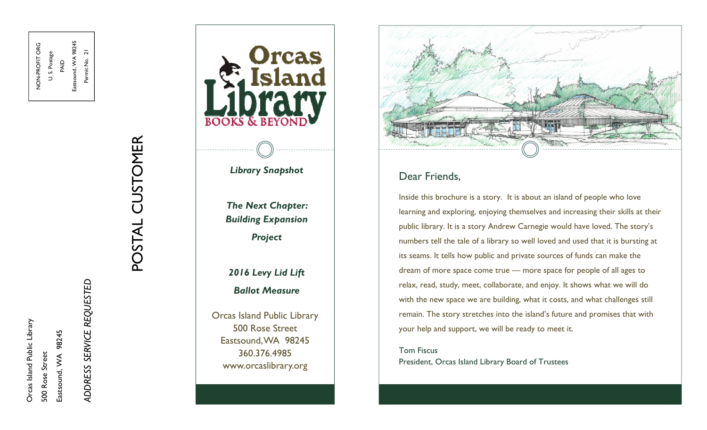Orcas Island Public Library Orcas Island Public Library Eastsound, WA 98245 Eastsound, VVA 98245 500 Rose Street 500 Rose Street

NON-PROFIT ORG U. S. Postage PAID Eastsound, WA 98245 Permit No. 21

U.S. Postage

NON-PROFIT ORG

Eastsound, WA 98245

Permit No. 21

*ADDRESS SERVICE REQUESTED*  ADDRESS SERVICE REQUESTED

# POSTAL CUSTOMER POSTAL CUSTOMER



# *Library Snapshot*

*The Next Chapter: Building Expansion Project* 

# *2016 Levy Lid Lift Ballot Measure*

Orcas Island Public Library 500 Rose Street Eastsound, WA 98245 360.376.4985 www.orcaslibrary.org



# Dear Friends,

Inside this brochure is a story. It is about an island of people who love learning and exploring, enjoying themselves and increasing their skills at their public library. It is a story Andrew Carnegie would have loved. The story's numbers tell the tale of a library so well loved and used that it is bursting at its seams. It tells how public and private sources of funds can make the dream of more space come true — more space for people of all ages to relax, read, study, meet, collaborate, and enjoy. It shows what we will do with the new space we are building, what it costs, and what challenges still remain. The story stretches into the island's future and promises that with your help and support, we will be ready to meet it.

## Tom FiscusPresident, Orcas Island Library Board of Trustees